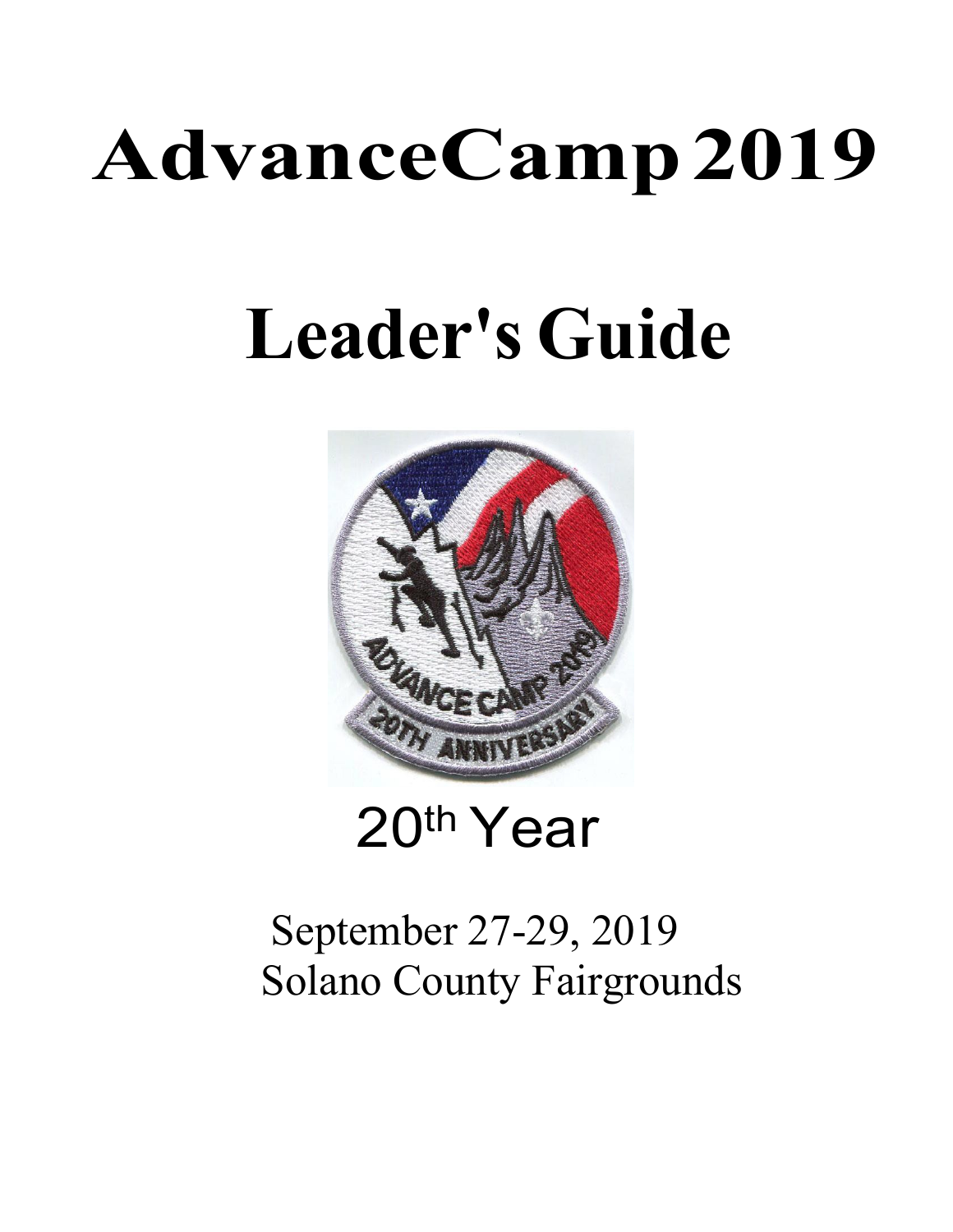# **AdvanceCamp2019**

## **Leader's Guide**



20th Year

## September 27-29, 2019 Solano County Fairgrounds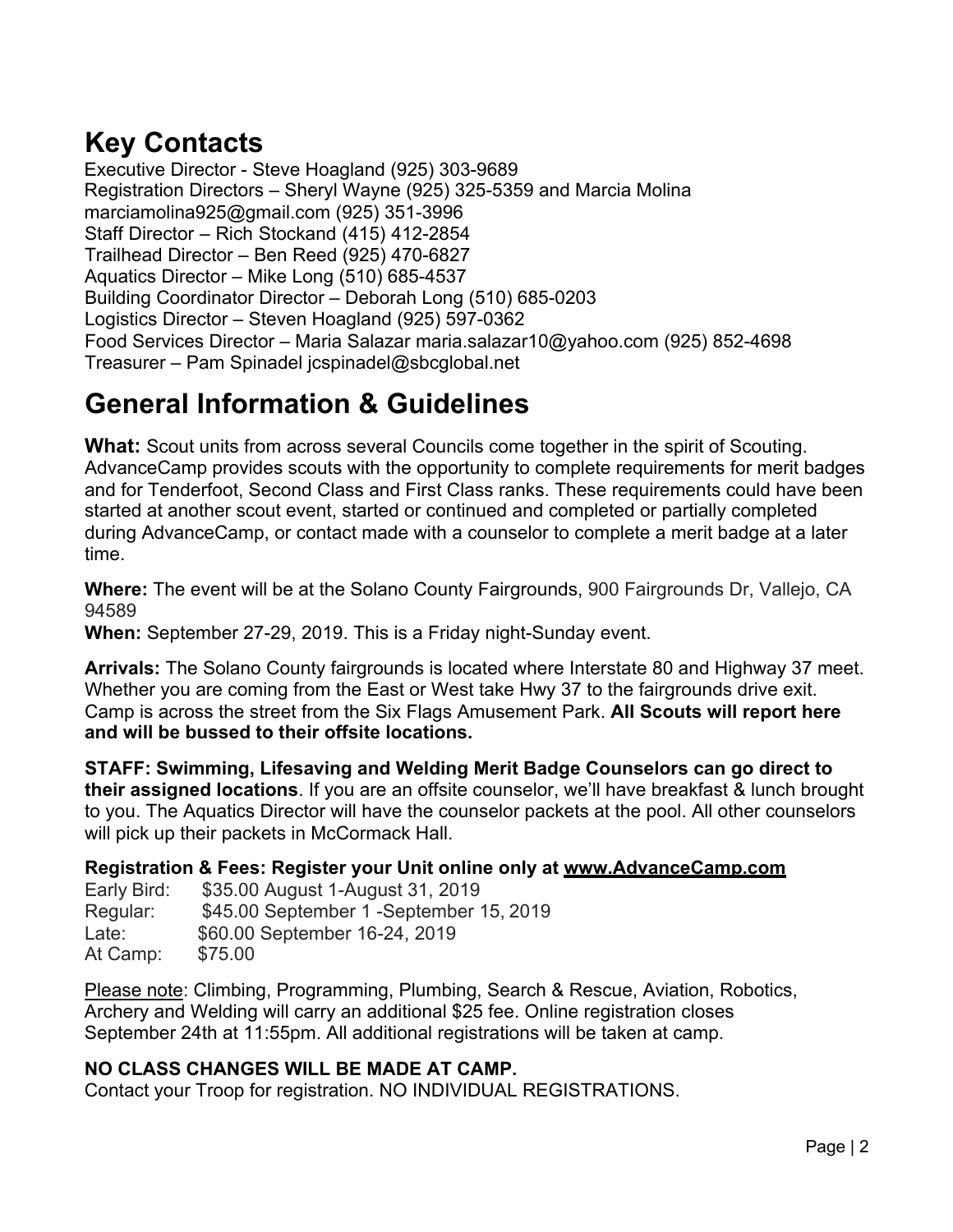## **Key Contacts**

Executive Director - Steve Hoagland (925) 303-9689 Registration Directors – Sheryl Wayne (925) 325-5359 and Marcia Molina marciamolina925@gmail.com (925) 351-3996 Staff Director – Rich Stockand (415) 412-2854 Trailhead Director – Ben Reed (925) 470-6827 Aquatics Director – Mike Long (510) 685-4537 Building Coordinator Director – Deborah Long (510) 685-0203 Logistics Director – Steven Hoagland (925) 597-0362 Food Services Director – Maria Salazar maria.salazar10@yahoo.com (925) 852-4698 Treasurer – Pam Spinadel jcspinadel@sbcglobal.net

## **General Information & Guidelines**

**What:** Scout units from across several Councils come together in the spirit of Scouting. AdvanceCamp provides scouts with the opportunity to complete requirements for merit badges and for Tenderfoot, Second Class and First Class ranks. These requirements could have been started at another scout event, started or continued and completed or partially completed during AdvanceCamp, or contact made with a counselor to complete a merit badge at a later time.

**Where:** The event will be at the Solano County Fairgrounds, 900 Fairgrounds Dr, Vallejo, CA 94589

**When:** September 27-29, 2019. This is a Friday night-Sunday event.

**Arrivals:** The Solano County fairgrounds is located where Interstate 80 and Highway 37 meet. Whether you are coming from the East or West take Hwy 37 to the fairgrounds drive exit. Camp is across the street from the Six Flags Amusement Park. **All Scouts will report here and will be bussed to their offsite locations.**

**STAFF: Swimming, Lifesaving and Welding Merit Badge Counselors can go direct to their assigned locations**. If you are an offsite counselor, we'll have breakfast & lunch brought to you. The Aquatics Director will have the counselor packets at the pool. All other counselors will pick up their packets in McCormack Hall.

### **Registration & Fees: Register your Unit online only at www.AdvanceCamp.com**

Early Bird: \$35.00 August 1-August 31, 2019 Regular: \$45.00 September 1 -September 15, 2019 Late: \$60.00 September 16-24, 2019 At Camp: \$75.00

Please note: Climbing, Programming, Plumbing, Search & Rescue, Aviation, Robotics, Archery and Welding will carry an additional \$25 fee. Online registration closes September 24th at 11:55pm. All additional registrations will be taken at camp.

### **NO CLASS CHANGES WILL BE MADE AT CAMP.**

Contact your Troop for registration. NO INDIVIDUAL REGISTRATIONS.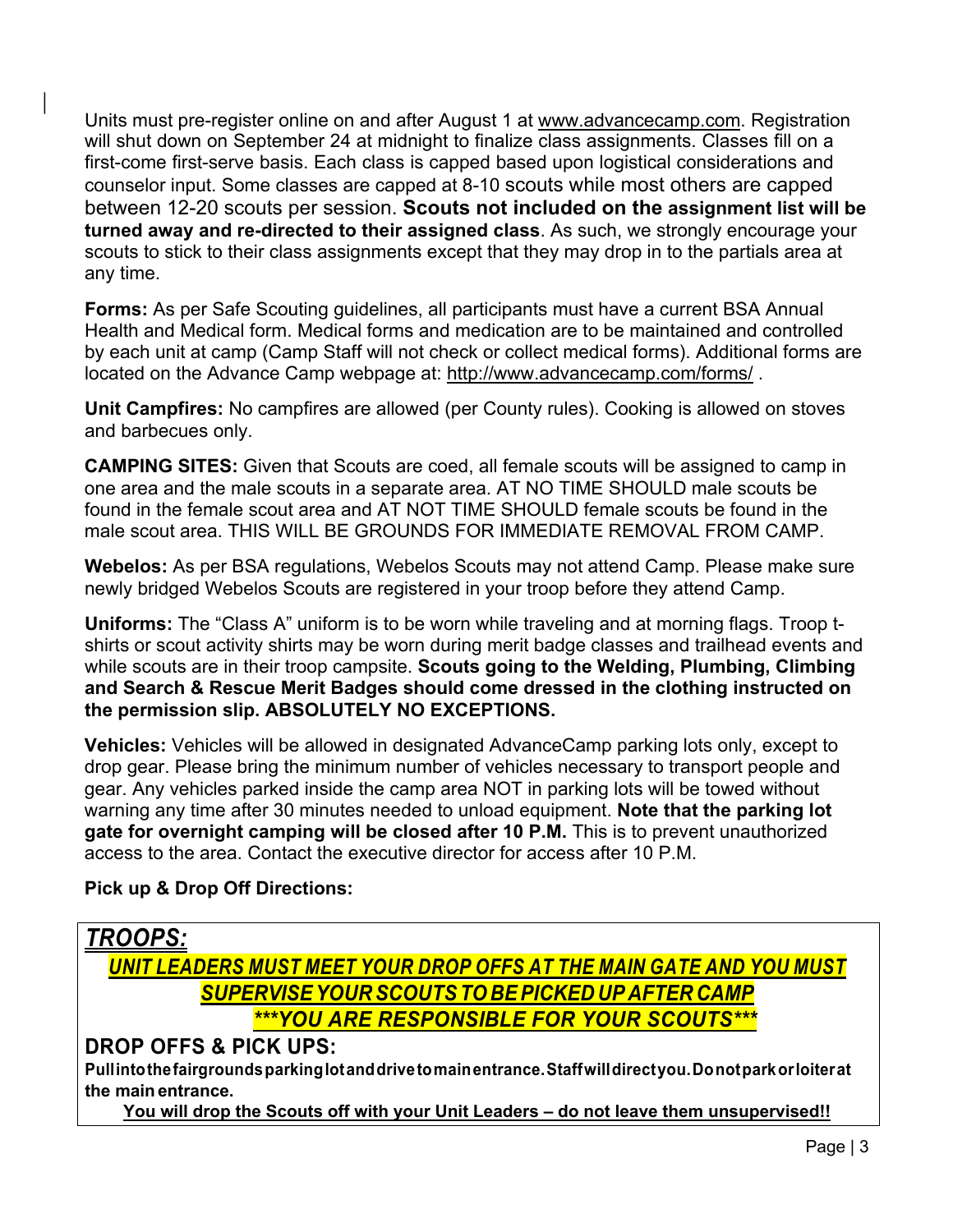Units must pre-register online on and after August 1 at www.advancecamp.com. Registration will shut down on September 24 at midnight to finalize class assignments. Classes fill on a first-come first-serve basis. Each class is capped based upon logistical considerations and counselor input. Some classes are capped at 8-10 scouts while most others are capped between 12-20 scouts per session. **Scouts not included on the assignment list will be turned away and re-directed to their assigned class**. As such, we strongly encourage your scouts to stick to their class assignments except that they may drop in to the partials area at any time.

**Forms:** As per Safe Scouting guidelines, all participants must have a current BSA Annual Health and Medical form. Medical forms and medication are to be maintained and controlled by each unit at camp (Camp Staff will not check or collect medical forms). Additional forms are located on the Advance Camp webpage at: http://www.advancecamp.com/forms/ .

**Unit Campfires:** No campfires are allowed (per County rules). Cooking is allowed on stoves and barbecues only.

**CAMPING SITES:** Given that Scouts are coed, all female scouts will be assigned to camp in one area and the male scouts in a separate area. AT NO TIME SHOULD male scouts be found in the female scout area and AT NOT TIME SHOULD female scouts be found in the male scout area. THIS WILL BE GROUNDS FOR IMMEDIATE REMOVAL FROM CAMP.

**Webelos:** As per BSA regulations, Webelos Scouts may not attend Camp. Please make sure newly bridged Webelos Scouts are registered in your troop before they attend Camp.

**Uniforms:** The "Class A" uniform is to be worn while traveling and at morning flags. Troop tshirts or scout activity shirts may be worn during merit badge classes and trailhead events and while scouts are in their troop campsite. **Scouts going to the Welding, Plumbing, Climbing and Search & Rescue Merit Badges should come dressed in the clothing instructed on the permission slip. ABSOLUTELY NO EXCEPTIONS.**

**Vehicles:** Vehicles will be allowed in designated AdvanceCamp parking lots only, except to drop gear. Please bring the minimum number of vehicles necessary to transport people and gear. Any vehicles parked inside the camp area NOT in parking lots will be towed without warning any time after 30 minutes needed to unload equipment. **Note that the parking lot gate for overnight camping will be closed after 10 P.M.** This is to prevent unauthorized access to the area. Contact the executive director for access after 10 P.M.

#### **Pick up & Drop Off Directions:**



**You will drop the Scouts off with your Unit Leaders – do not leave them unsupervised!!**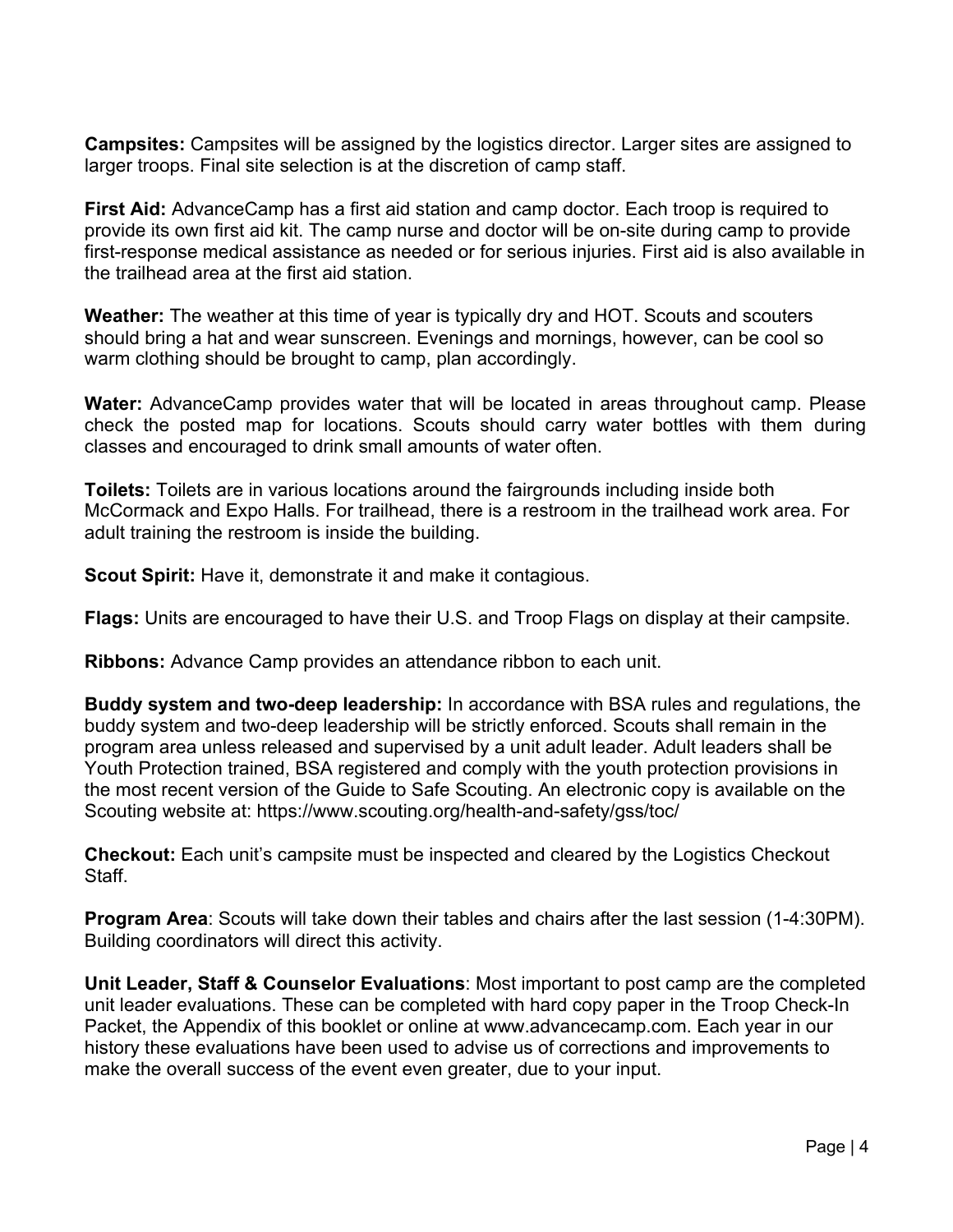**Campsites:** Campsites will be assigned by the logistics director. Larger sites are assigned to larger troops. Final site selection is at the discretion of camp staff.

**First Aid:** AdvanceCamp has a first aid station and camp doctor. Each troop is required to provide its own first aid kit. The camp nurse and doctor will be on-site during camp to provide first-response medical assistance as needed or for serious injuries. First aid is also available in the trailhead area at the first aid station.

**Weather:** The weather at this time of year is typically dry and HOT. Scouts and scouters should bring a hat and wear sunscreen. Evenings and mornings, however, can be cool so warm clothing should be brought to camp, plan accordingly.

**Water:** AdvanceCamp provides water that will be located in areas throughout camp. Please check the posted map for locations. Scouts should carry water bottles with them during classes and encouraged to drink small amounts of water often.

**Toilets:** Toilets are in various locations around the fairgrounds including inside both McCormack and Expo Halls. For trailhead, there is a restroom in the trailhead work area. For adult training the restroom is inside the building.

**Scout Spirit:** Have it, demonstrate it and make it contagious.

**Flags:** Units are encouraged to have their U.S. and Troop Flags on display at their campsite.

**Ribbons:** Advance Camp provides an attendance ribbon to each unit.

**Buddy system and two-deep leadership:** In accordance with BSA rules and regulations, the buddy system and two-deep leadership will be strictly enforced. Scouts shall remain in the program area unless released and supervised by a unit adult leader. Adult leaders shall be Youth Protection trained, BSA registered and comply with the youth protection provisions in the most recent version of the Guide to Safe Scouting. An electronic copy is available on the Scouting website at: https://www.scouting.org/health-and-safety/gss/toc/

**Checkout:** Each unit's campsite must be inspected and cleared by the Logistics Checkout Staff.

**Program Area**: Scouts will take down their tables and chairs after the last session (1-4:30PM). Building coordinators will direct this activity.

**Unit Leader, Staff & Counselor Evaluations**: Most important to post camp are the completed unit leader evaluations. These can be completed with hard copy paper in the Troop Check-In Packet, the Appendix of this booklet or online at www.advancecamp.com. Each year in our history these evaluations have been used to advise us of corrections and improvements to make the overall success of the event even greater, due to your input.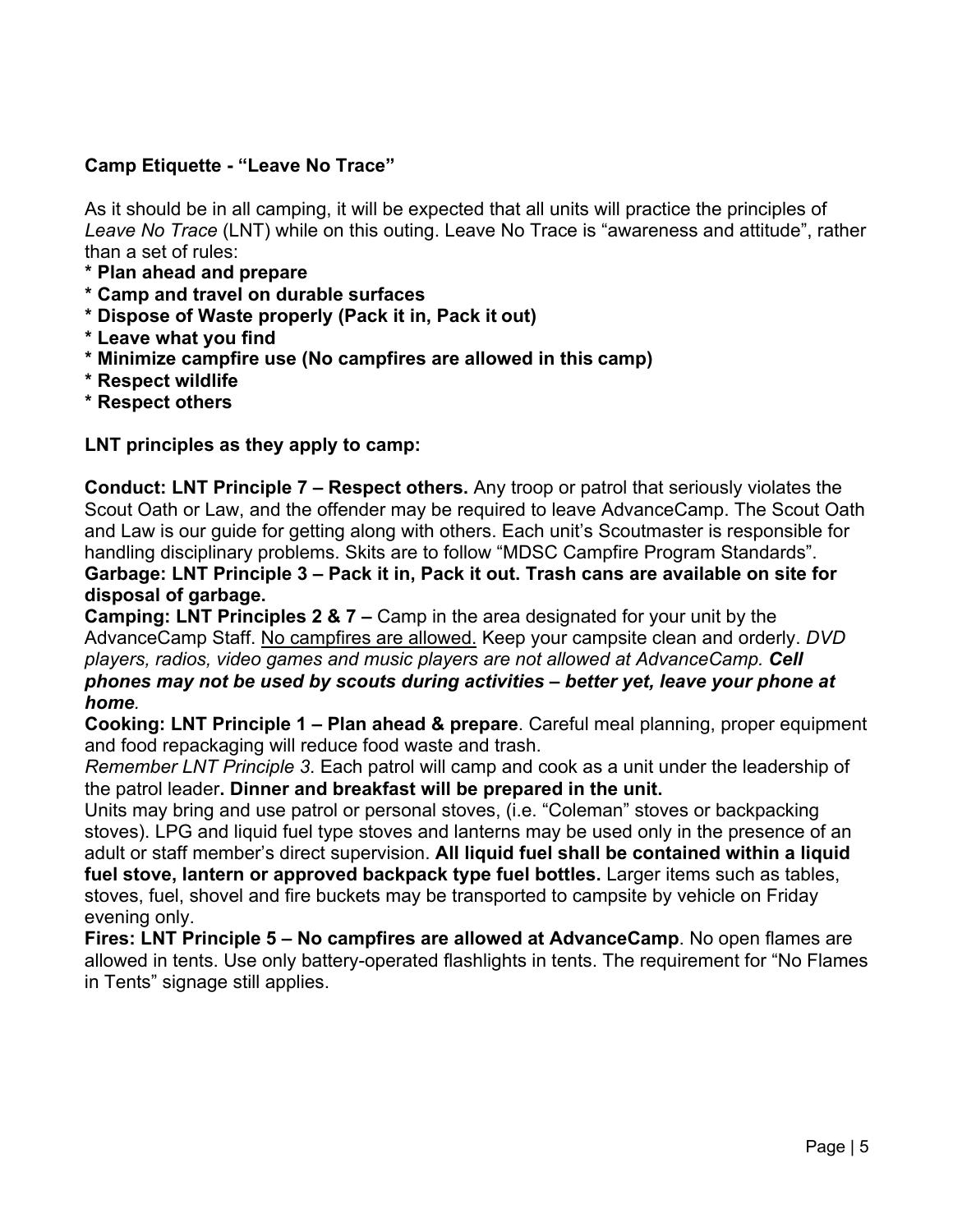#### **Camp Etiquette - "Leave No Trace"**

As it should be in all camping, it will be expected that all units will practice the principles of *Leave No Trace* (LNT) while on this outing. Leave No Trace is "awareness and attitude", rather than a set of rules:

- **\* Plan ahead and prepare**
- **\* Camp and travel on durable surfaces**
- **\* Dispose of Waste properly (Pack it in, Pack it out)**
- **\* Leave what you find**
- **\* Minimize campfire use (No campfires are allowed in this camp)**
- **\* Respect wildlife**
- **\* Respect others**

**LNT principles as they apply to camp:**

**Conduct: LNT Principle 7 – Respect others.** Any troop or patrol that seriously violates the Scout Oath or Law, and the offender may be required to leave AdvanceCamp. The Scout Oath and Law is our guide for getting along with others. Each unit's Scoutmaster is responsible for handling disciplinary problems. Skits are to follow "MDSC Campfire Program Standards". **Garbage: LNT Principle 3 – Pack it in, Pack it out. Trash cans are available on site for disposal of garbage.**

**Camping: LNT Principles 2 & 7 –** Camp in the area designated for your unit by the AdvanceCamp Staff. No campfires are allowed. Keep your campsite clean and orderly. *DVD players, radios, video games and music players are not allowed at AdvanceCamp. Cell phones may not be used by scouts during activities – better yet, leave your phone at home.*

**Cooking: LNT Principle 1 – Plan ahead & prepare**. Careful meal planning, proper equipment and food repackaging will reduce food waste and trash.

*Remember LNT Principle 3*. Each patrol will camp and cook as a unit under the leadership of the patrol leader**. Dinner and breakfast will be prepared in the unit.**

Units may bring and use patrol or personal stoves, (i.e. "Coleman" stoves or backpacking stoves). LPG and liquid fuel type stoves and lanterns may be used only in the presence of an adult or staff member's direct supervision. **All liquid fuel shall be contained within a liquid fuel stove, lantern or approved backpack type fuel bottles.** Larger items such as tables, stoves, fuel, shovel and fire buckets may be transported to campsite by vehicle on Friday evening only.

**Fires: LNT Principle 5 – No campfires are allowed at AdvanceCamp**. No open flames are allowed in tents. Use only battery-operated flashlights in tents. The requirement for "No Flames in Tents" signage still applies.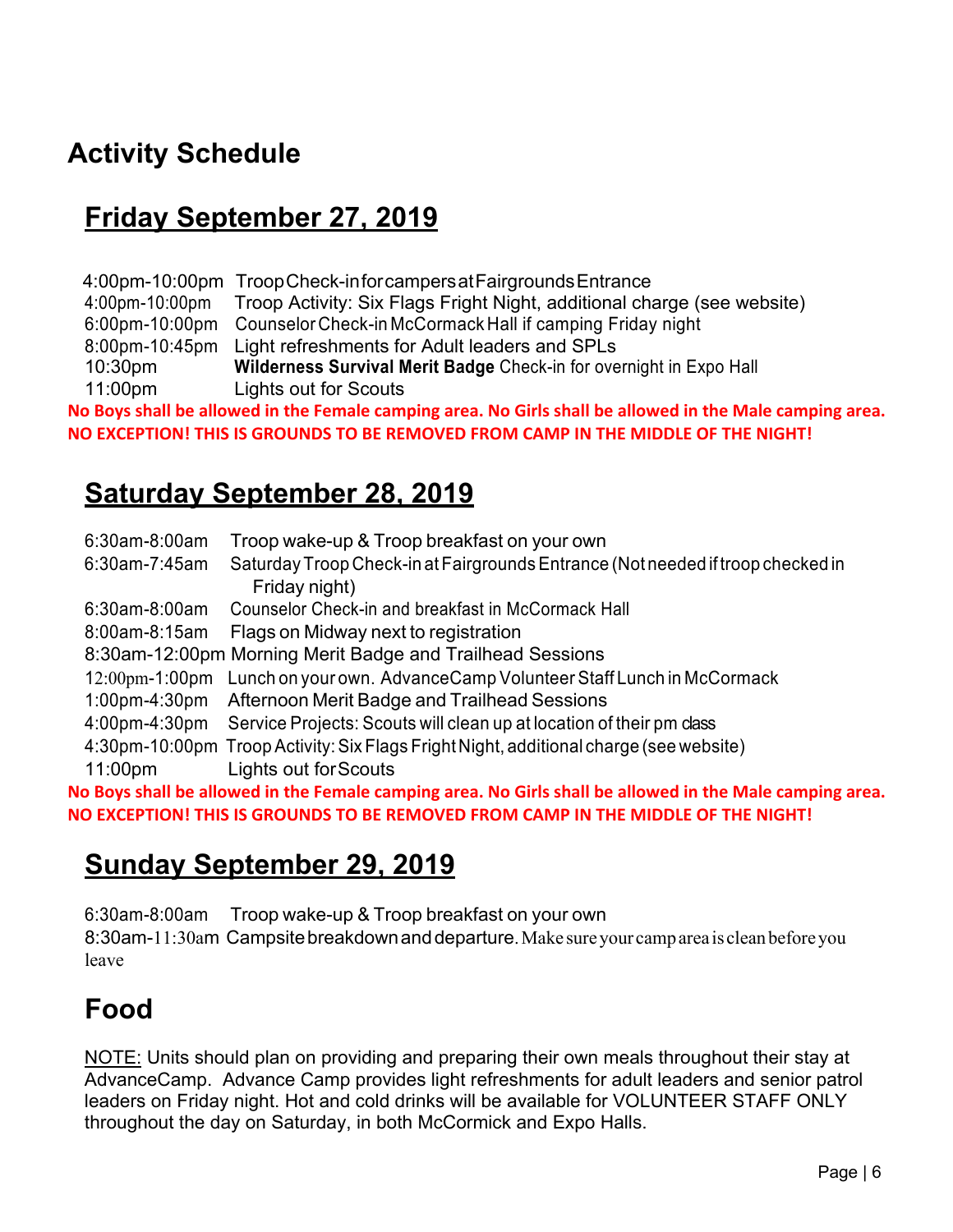## **Activity Schedule**

## **Friday September 27, 2019**

4:00pm-10:00pm TroopCheck-inforcampersatFairgroundsEntrance 4:00pm-10:00pm 6:00pm-10:00pm Counselor Check-in McCormack Hall if camping Friday night 8:00pm-10:45pm Light refreshments for Adult leaders and SPLs 10:30pm 11:00pm Troop Activity: Six Flags Fright Night, additional charge (see website) **Wilderness Survival Merit Badge** Check-in for overnight in Expo Hall Lights out for Scouts **No Boys shall be allowed in the Female camping area. No Girls shall be allowed in the Male camping area. NO EXCEPTION! THIS IS GROUNDS TO BE REMOVED FROM CAMP IN THE MIDDLE OF THE NIGHT!**

### **Saturday September 28, 2019**

| 6:30am-8:00am                                                                                            | Troop wake-up & Troop breakfast on your own                                                      |  |  |  |  |
|----------------------------------------------------------------------------------------------------------|--------------------------------------------------------------------------------------------------|--|--|--|--|
| 6:30am-7:45am                                                                                            | Saturday Troop Check-in at Fairgrounds Entrance (Not needed if troop checked in<br>Friday night) |  |  |  |  |
| $6:30$ am-8:00am                                                                                         | Counselor Check-in and breakfast in McCormack Hall                                               |  |  |  |  |
| $8:00$ am-8:15am                                                                                         | Flags on Midway next to registration                                                             |  |  |  |  |
|                                                                                                          | 8:30am-12:00pm Morning Merit Badge and Trailhead Sessions                                        |  |  |  |  |
| $12:00$ pm-1:00pm                                                                                        | Lunch on your own. AdvanceCamp Volunteer Staff Lunch in McCormack                                |  |  |  |  |
| $1:00$ pm-4:30pm                                                                                         | Afternoon Merit Badge and Trailhead Sessions                                                     |  |  |  |  |
|                                                                                                          | 4:00pm-4:30pm Service Projects: Scouts will clean up at location of their pm class               |  |  |  |  |
|                                                                                                          | 4:30pm-10:00pm Troop Activity: Six Flags Fright Night, additional charge (see website)           |  |  |  |  |
| 11:00 <sub>pm</sub>                                                                                      | Lights out for Scouts                                                                            |  |  |  |  |
| No Boys shall be allowed in the Female camping area. No Girls shall be allowed in the Male camping area. |                                                                                                  |  |  |  |  |
|                                                                                                          | NO EXCEPTION! THIS IS GROUNDS TO BE REMOVED FROM CAMP IN THE MIDDLE OF THE NIGHT!                |  |  |  |  |

### **Sunday September 29, 2019**

6:30am-8:00am Troop wake-up & Troop breakfast on your own 8:30am-11:30am Campsitebreakdownanddeparture.Make sureyour camparea is cleanbeforeyou leave

## **Food**

NOTE: Units should plan on providing and preparing their own meals throughout their stay at AdvanceCamp. Advance Camp provides light refreshments for adult leaders and senior patrol leaders on Friday night. Hot and cold drinks will be available for VOLUNTEER STAFF ONLY throughout the day on Saturday, in both McCormick and Expo Halls.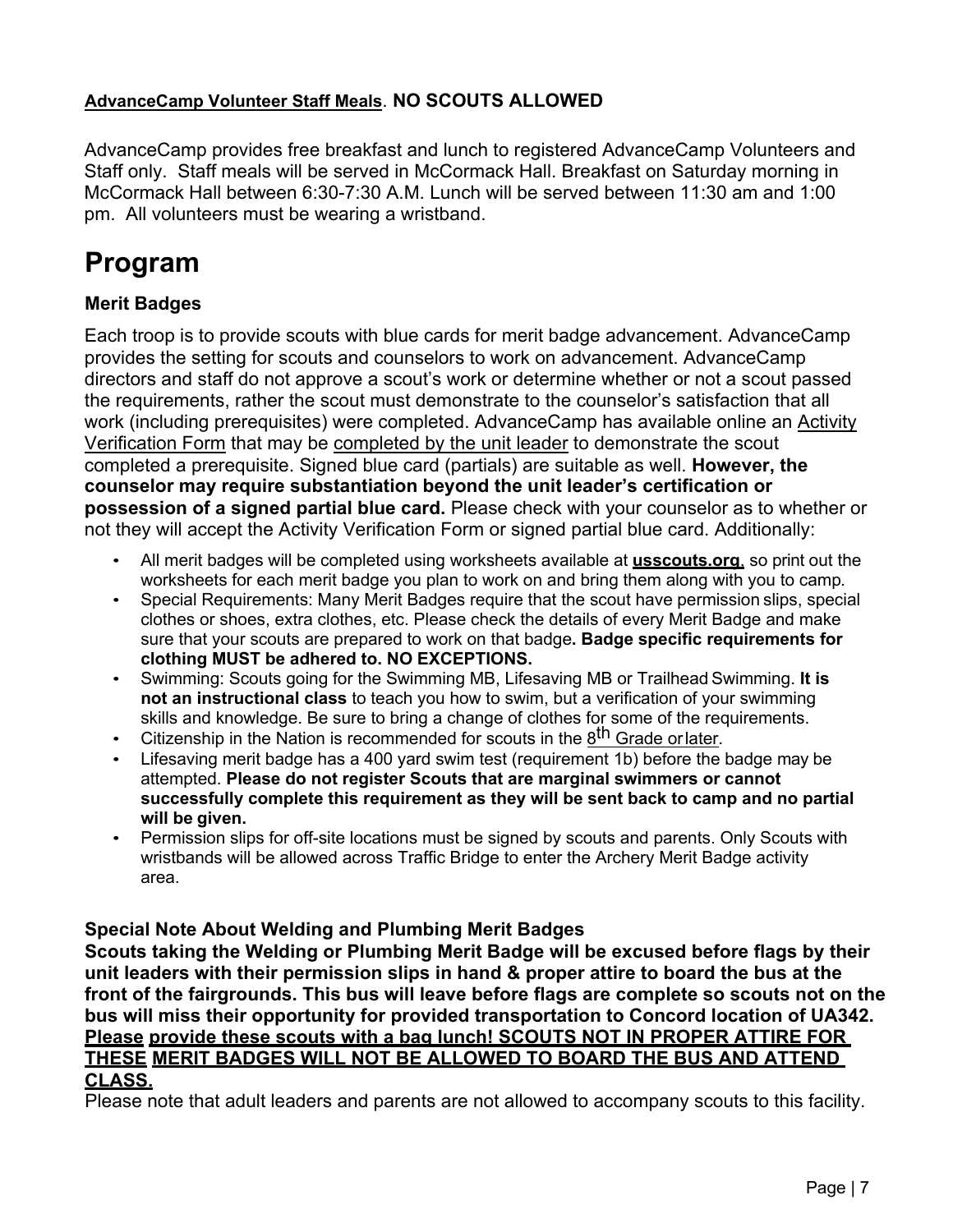#### **AdvanceCamp Volunteer Staff Meals**. **NO SCOUTS ALLOWED**

AdvanceCamp provides free breakfast and lunch to registered AdvanceCamp Volunteers and Staff only. Staff meals will be served in McCormack Hall. Breakfast on Saturday morning in McCormack Hall between 6:30-7:30 A.M. Lunch will be served between 11:30 am and 1:00 pm. All volunteers must be wearing a wristband.

## **Program**

### **Merit Badges**

Each troop is to provide scouts with blue cards for merit badge advancement. AdvanceCamp provides the setting for scouts and counselors to work on advancement. AdvanceCamp directors and staff do not approve a scout's work or determine whether or not a scout passed the requirements, rather the scout must demonstrate to the counselor's satisfaction that all work (including prerequisites) were completed. AdvanceCamp has available online an Activity Verification Form that may be completed by the unit leader to demonstrate the scout completed a prerequisite. Signed blue card (partials) are suitable as well. **However, the counselor may require substantiation beyond the unit leader's certification or possession of a signed partial blue card.** Please check with your counselor as to whether or not they will accept the Activity Verification Form or signed partial blue card. Additionally:

- All merit badges will be completed using worksheets available at **usscouts.org**, so print out the worksheets for each merit badge you plan to work on and bring them along with you to camp*.*
- Special Requirements: Many Merit Badges require that the scout have permission slips, special clothes or shoes, extra clothes, etc. Please check the details of every Merit Badge and make sure that your scouts are prepared to work on that badge**. Badge specific requirements for clothing MUST be adhered to. NO EXCEPTIONS.**
- Swimming: Scouts going for the Swimming MB, Lifesaving MB or Trailhead Swimming. **It is not an instructional class** to teach you how to swim, but a verification of your swimming skills and knowledge. Be sure to bring a change of clothes for some of the requirements.
- Citizenship in the Nation is recommended for scouts in the 8<sup>th</sup> Grade orlater.
- Lifesaving merit badge has a 400 yard swim test (requirement 1b) before the badge may be attempted. **Please do not register Scouts that are marginal swimmers or cannot successfully complete this requirement as they will be sent back to camp and no partial will be given.**
- Permission slips for off-site locations must be signed by scouts and parents. Only Scouts with wristbands will be allowed across Traffic Bridge to enter the Archery Merit Badge activity area.

#### **Special Note About Welding and Plumbing Merit Badges**

**Scouts taking the Welding or Plumbing Merit Badge will be excused before flags by their unit leaders with their permission slips in hand & proper attire to board the bus at the front of the fairgrounds. This bus will leave before flags are complete so scouts not on the bus will miss their opportunity for provided transportation to Concord location of UA342. Please provide these scouts with a bag lunch! SCOUTS NOT IN PROPER ATTIRE FOR THESE MERIT BADGES WILL NOT BE ALLOWED TO BOARD THE BUS AND ATTEND CLASS.**

Please note that adult leaders and parents are not allowed to accompany scouts to this facility.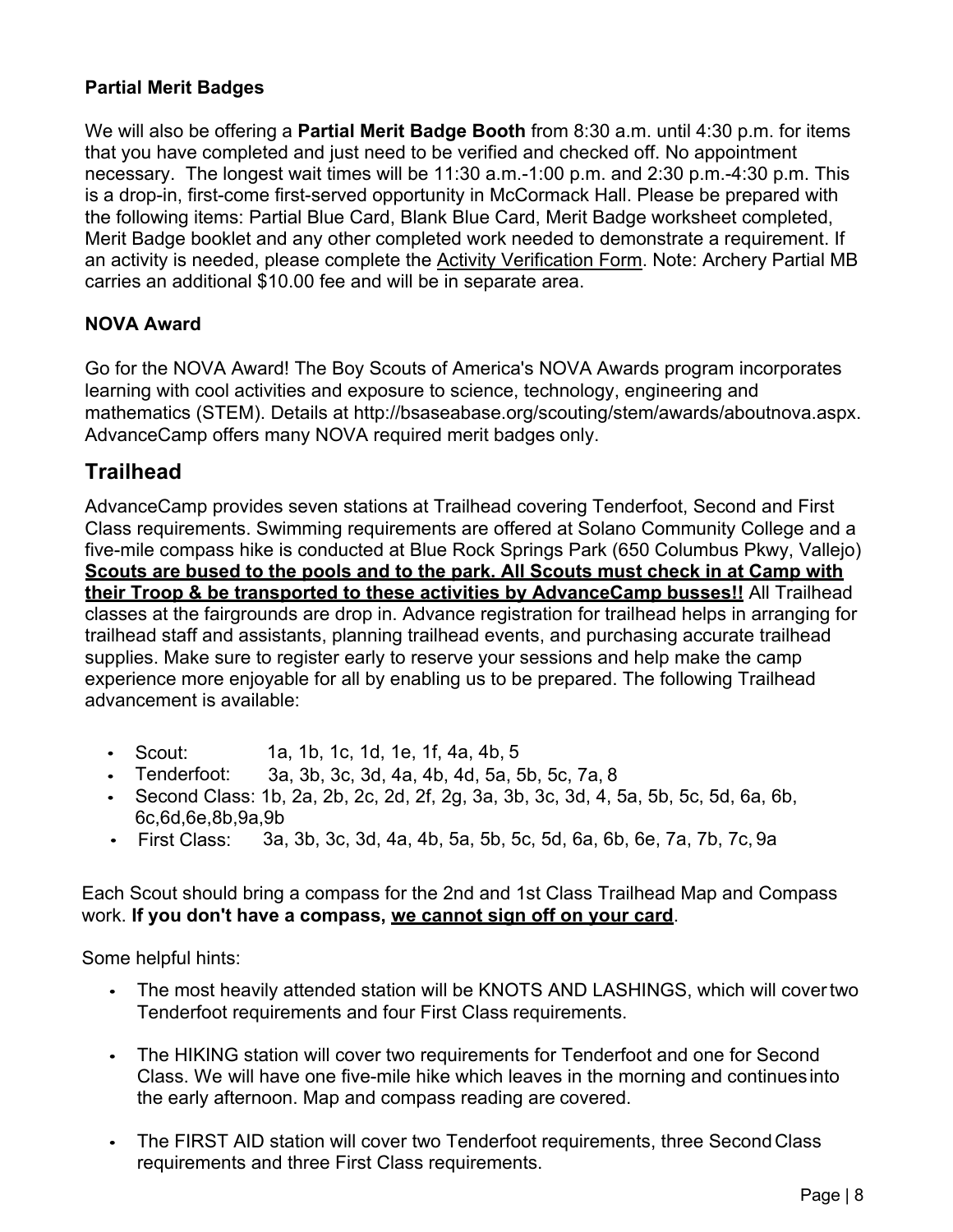#### **Partial Merit Badges**

We will also be offering a **Partial Merit Badge Booth** from 8:30 a.m. until 4:30 p.m. for items that you have completed and just need to be verified and checked off. No appointment necessary. The longest wait times will be 11:30 a.m.-1:00 p.m. and 2:30 p.m.-4:30 p.m. This is a drop-in, first-come first-served opportunity in McCormack Hall. Please be prepared with the following items: Partial Blue Card, Blank Blue Card, Merit Badge worksheet completed, Merit Badge booklet and any other completed work needed to demonstrate a requirement. If an activity is needed, please complete the Activity Verification Form. Note: Archery Partial MB carries an additional \$10.00 fee and will be in separate area.

#### **NOVA Award**

Go for the NOVA Award! The Boy Scouts of America's NOVA Awards program incorporates learning with cool activities and exposure to science, technology, engineering and mathematics (STEM). Details at http://bsaseabase.org/scouting/stem/awards/aboutnova.aspx. AdvanceCamp offers many NOVA required merit badges only.

### **Trailhead**

AdvanceCamp provides seven stations at Trailhead covering Tenderfoot, Second and First Class requirements. Swimming requirements are offered at Solano Community College and a five-mile compass hike is conducted at Blue Rock Springs Park (650 Columbus Pkwy, Vallejo) **Scouts are bused to the pools and to the park. All Scouts must check in at Camp with their Troop & be transported to these activities by AdvanceCamp busses!!** All Trailhead classes at the fairgrounds are drop in. Advance registration for trailhead helps in arranging for trailhead staff and assistants, planning trailhead events, and purchasing accurate trailhead supplies. Make sure to register early to reserve your sessions and help make the camp experience more enjoyable for all by enabling us to be prepared. The following Trailhead advancement is available:

- Scout: 1a, 1b, 1c, 1d, 1e, 1f, 4a, 4b, 5
- Tenderfoot: 3a, 3b, 3c, 3d, 4a, 4b, 4d, 5a, 5b, 5c, 7a, 8
- Second Class: 1b, 2a, 2b, 2c, 2d, 2f, 2g, 3a, 3b, 3c, 3d, 4, 5a, 5b, 5c, 5d, 6a, 6b, 6c,6d,6e,8b,9a,9b
- First Class: 3a, 3b, 3c, 3d, 4a, 4b, 5a, 5b, 5c, 5d, 6a, 6b, 6e, 7a, 7b, 7c, 9a

Each Scout should bring a compass for the 2nd and 1st Class Trailhead Map and Compass work. **If you don't have a compass, we cannot sign off on your card**.

Some helpful hints:

- The most heavily attended station will be KNOTS AND LASHINGS, which will covertwo Tenderfoot requirements and four First Class requirements.
- The HIKING station will cover two requirements for Tenderfoot and one for Second Class. We will have one five-mile hike which leaves in the morning and continuesinto the early afternoon. Map and compass reading are covered.
- The FIRST AID station will cover two Tenderfoot requirements, three SecondClass requirements and three First Class requirements.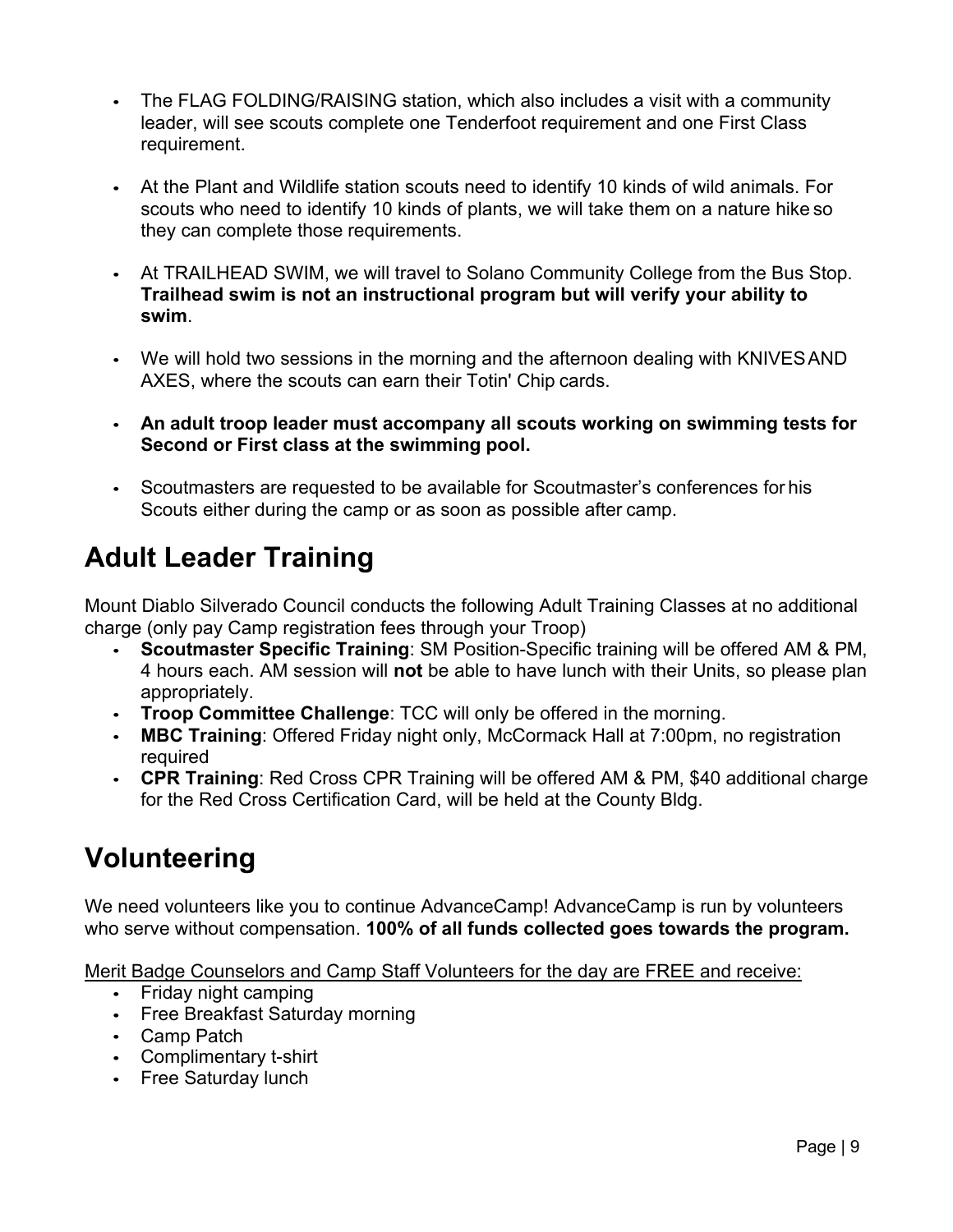- The FLAG FOLDING/RAISING station, which also includes a visit with a community leader, will see scouts complete one Tenderfoot requirement and one First Class requirement.
- At the Plant and Wildlife station scouts need to identify 10 kinds of wild animals. For scouts who need to identify 10 kinds of plants, we will take them on a nature hike so they can complete those requirements.
- At TRAILHEAD SWIM, we will travel to Solano Community College from the Bus Stop. **Trailhead swim is not an instructional program but will verify your ability to swim**.
- We will hold two sessions in the morning and the afternoon dealing with KNIVESAND AXES, where the scouts can earn their Totin' Chip cards.
- **An adult troop leader must accompany all scouts working on swimming tests for Second or First class at the swimming pool.**
- Scoutmasters are requested to be available for Scoutmaster's conferences for his Scouts either during the camp or as soon as possible after camp.

## **Adult Leader Training**

Mount Diablo Silverado Council conducts the following Adult Training Classes at no additional charge (only pay Camp registration fees through your Troop)

- **Scoutmaster Specific Training**: SM Position-Specific training will be offered AM & PM, 4 hours each. AM session will **not** be able to have lunch with their Units, so please plan appropriately.
- **Troop Committee Challenge**: TCC will only be offered in the morning.
- **MBC Training**: Offered Friday night only, McCormack Hall at 7:00pm, no registration required
- **CPR Training**: Red Cross CPR Training will be offered AM & PM, \$40 additional charge for the Red Cross Certification Card, will be held at the County Bldg.

## **Volunteering**

We need volunteers like you to continue AdvanceCamp! AdvanceCamp is run by volunteers who serve without compensation. **100% of all funds collected goes towards the program.**

Merit Badge Counselors and Camp Staff Volunteers for the day are FREE and receive:

- Friday night camping
- Free Breakfast Saturday morning
- Camp Patch
- Complimentary t-shirt
- Free Saturday lunch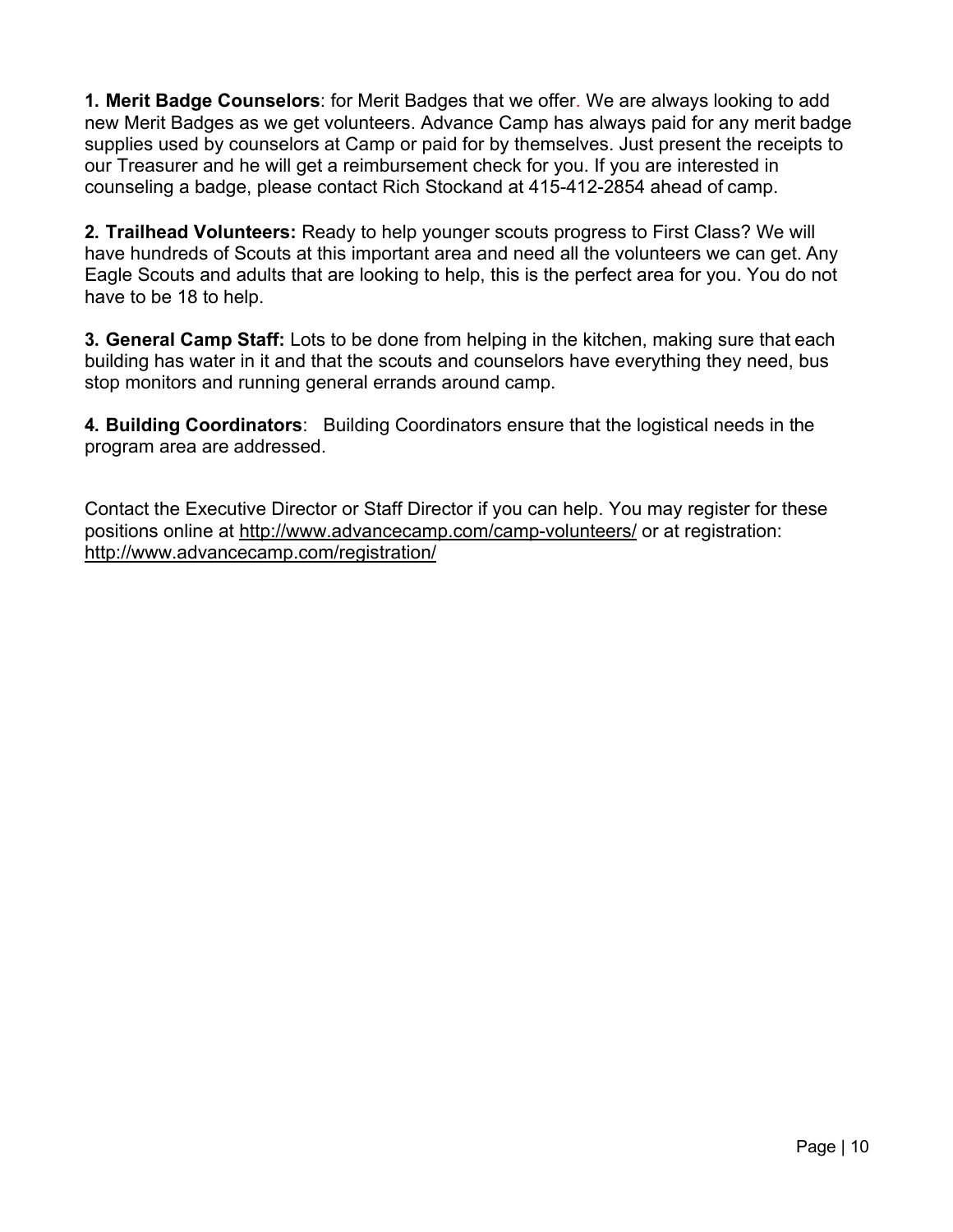**1. Merit Badge Counselors**: for Merit Badges that we offer. We are always looking to add new Merit Badges as we get volunteers. Advance Camp has always paid for any merit badge supplies used by counselors at Camp or paid for by themselves. Just present the receipts to our Treasurer and he will get a reimbursement check for you. If you are interested in counseling a badge, please contact Rich Stockand at 415-412-2854 ahead of camp.

**2. Trailhead Volunteers:** Ready to help younger scouts progress to First Class? We will have hundreds of Scouts at this important area and need all the volunteers we can get. Any Eagle Scouts and adults that are looking to help, this is the perfect area for you. You do not have to be 18 to help.

**3. General Camp Staff:** Lots to be done from helping in the kitchen, making sure that each building has water in it and that the scouts and counselors have everything they need, bus stop monitors and running general errands around camp.

**4. Building Coordinators**: Building Coordinators ensure that the logistical needs in the program area are addressed.

Contact the Executive Director or Staff Director if you can help. You may register for these positions online at http://www.advancecamp.com/camp-volunteers/ or at registration: http://www.advancecamp.com/registration/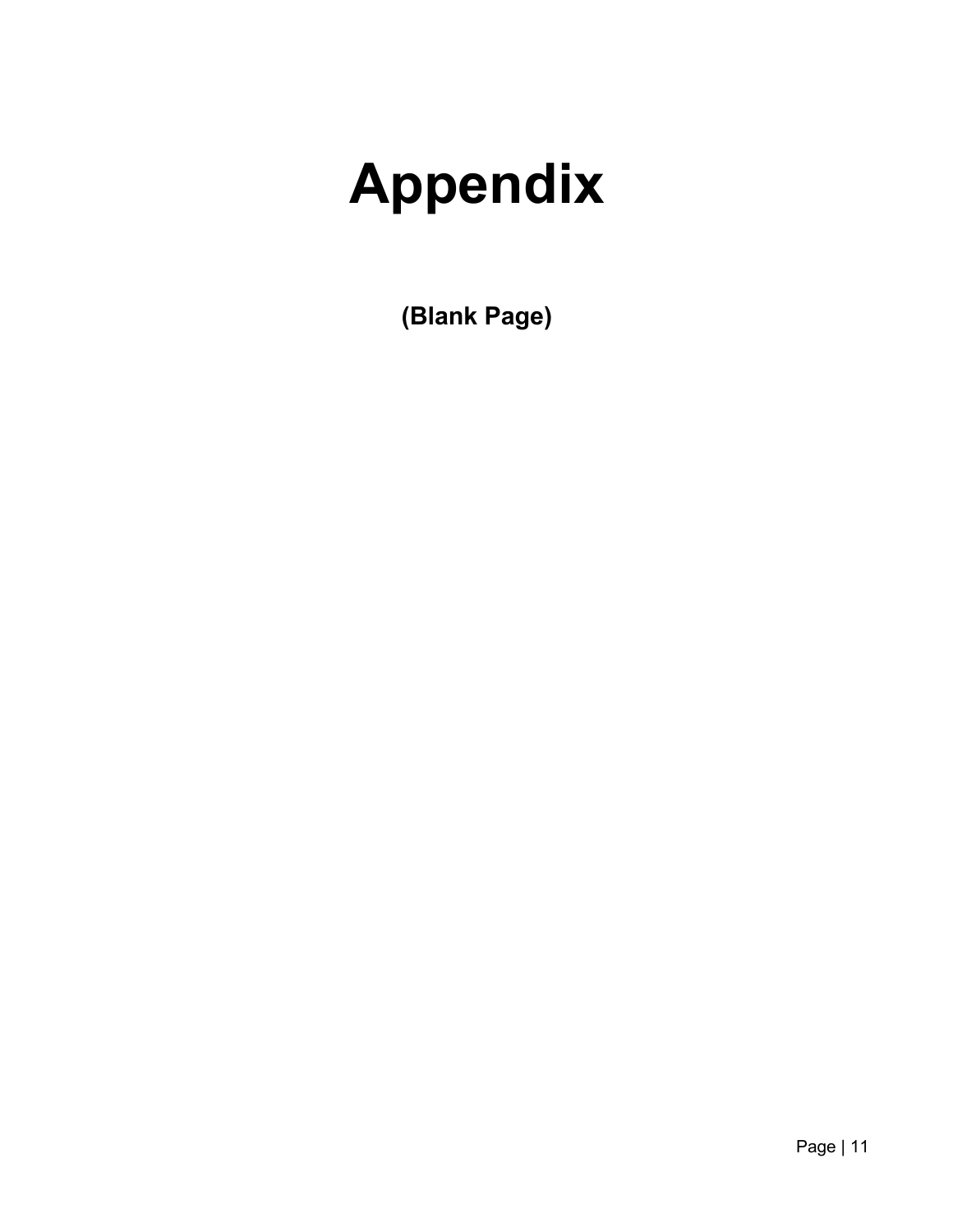## **Appendix**

**(Blank Page)**